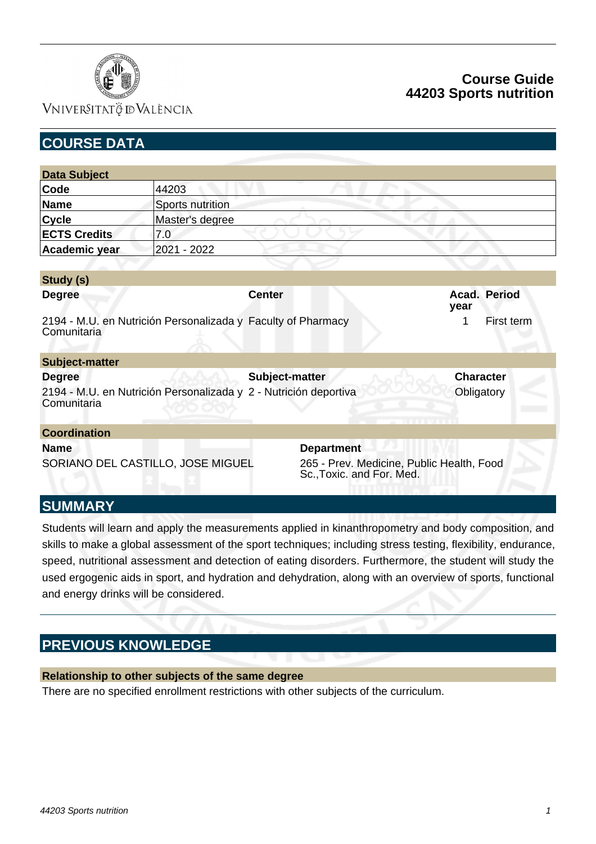

### VNIVERSITATÖ ID VALÈNCIA

# **Course Guide 44203 Sports nutrition**

| <b>COURSE DATA</b>                |                                                              |                                                                        |                      |
|-----------------------------------|--------------------------------------------------------------|------------------------------------------------------------------------|----------------------|
|                                   |                                                              |                                                                        |                      |
| <b>Data Subject</b>               |                                                              |                                                                        |                      |
| Code                              | 44203                                                        |                                                                        |                      |
| <b>Name</b>                       | Sports nutrition                                             |                                                                        |                      |
| <b>Cycle</b>                      | Master's degree                                              |                                                                        |                      |
| <b>ECTS Credits</b>               | 7.0                                                          |                                                                        |                      |
| Academic year                     | 2021 - 2022                                                  |                                                                        |                      |
|                                   |                                                              |                                                                        |                      |
| Study (s)                         |                                                              |                                                                        |                      |
| <b>Degree</b>                     |                                                              | <b>Center</b>                                                          | Acad. Period<br>year |
| Comunitaria                       | 2194 - M.U. en Nutrición Personalizada y Faculty of Pharmacy |                                                                        | 1<br>First term      |
| <b>Subject-matter</b>             |                                                              |                                                                        |                      |
| <b>Degree</b>                     |                                                              | Subject-matter                                                         | <b>Character</b>     |
| Comunitaria                       |                                                              | 2194 - M.U. en Nutrición Personalizada y 2 - Nutrición deportiva       | Obligatory           |
| <b>Coordination</b>               |                                                              |                                                                        |                      |
| <b>Name</b>                       |                                                              | <b>Department</b>                                                      |                      |
| SORIANO DEL CASTILLO, JOSE MIGUEL |                                                              | 265 - Prev. Medicine, Public Health, Food<br>Sc., Toxic. and For. Med. |                      |
| <b>SUMMARY</b>                    |                                                              |                                                                        |                      |

Students will learn and apply the measurements applied in kinanthropometry and body composition, and skills to make a global assessment of the sport techniques; including stress testing, flexibility, endurance, speed, nutritional assessment and detection of eating disorders. Furthermore, the student will study the used ergogenic aids in sport, and hydration and dehydration, along with an overview of sports, functional and energy drinks will be considered.

# **PREVIOUS KNOWLEDGE**

### **Relationship to other subjects of the same degree**

There are no specified enrollment restrictions with other subjects of the curriculum.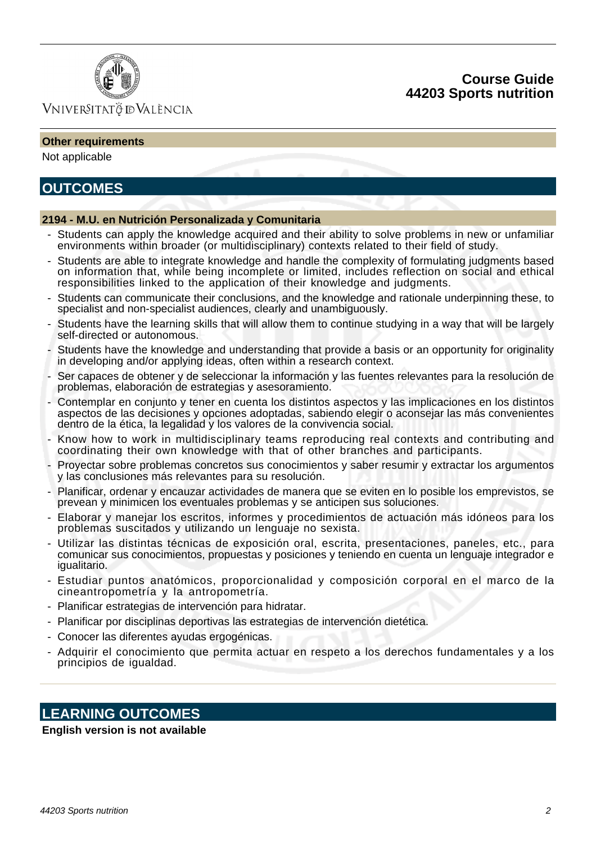



### VNIVERSITATÖ IDVALÈNCIA

#### **Other requirements**

Not applicable

## **OUTCOMES**

#### **2194 - M.U. en Nutrición Personalizada y Comunitaria**

- Students can apply the knowledge acquired and their ability to solve problems in new or unfamiliar environments within broader (or multidisciplinary) contexts related to their field of study.
- Students are able to integrate knowledge and handle the complexity of formulating judgments based on information that, while being incomplete or limited, includes reflection on social and ethical responsibilities linked to the application of their knowledge and judgments.
- Students can communicate their conclusions, and the knowledge and rationale underpinning these, to specialist and non-specialist audiences, clearly and unambiguously.
- Students have the learning skills that will allow them to continue studying in a way that will be largely self-directed or autonomous.
- Students have the knowledge and understanding that provide a basis or an opportunity for originality in developing and/or applying ideas, often within a research context.
- Ser capaces de obtener y de seleccionar la información y las fuentes relevantes para la resolución de problemas, elaboración de estrategias y asesoramiento.
- Contemplar en conjunto y tener en cuenta los distintos aspectos y las implicaciones en los distintos aspectos de las decisiones y opciones adoptadas, sabiendo elegir o aconsejar las más convenientes dentro de la ética, la legalidad y los valores de la convivencia social.
- Know how to work in multidisciplinary teams reproducing real contexts and contributing and coordinating their own knowledge with that of other branches and participants.
- Proyectar sobre problemas concretos sus conocimientos y saber resumir y extractar los argumentos y las conclusiones más relevantes para su resolución.
- Planificar, ordenar y encauzar actividades de manera que se eviten en lo posible los emprevistos, se prevean y minimicen los eventuales problemas y se anticipen sus soluciones.
- Elaborar y manejar los escritos, informes y procedimientos de actuación más idóneos para los problemas suscitados y utilizando un lenguaje no sexista.
- Utilizar las distintas técnicas de exposición oral, escrita, presentaciones, paneles, etc., para comunicar sus conocimientos, propuestas y posiciones y teniendo en cuenta un lenguaje integrador e igualitario.
- Estudiar puntos anatómicos, proporcionalidad y composición corporal en el marco de la cineantropometría y la antropometría.
- Planificar estrategias de intervención para hidratar.
- Planificar por disciplinas deportivas las estrategias de intervención dietética.
- Conocer las diferentes ayudas ergogénicas.
- Adquirir el conocimiento que permita actuar en respeto a los derechos fundamentales y a los principios de igualdad.

# **LEARNING OUTCOMES**

#### **English version is not available**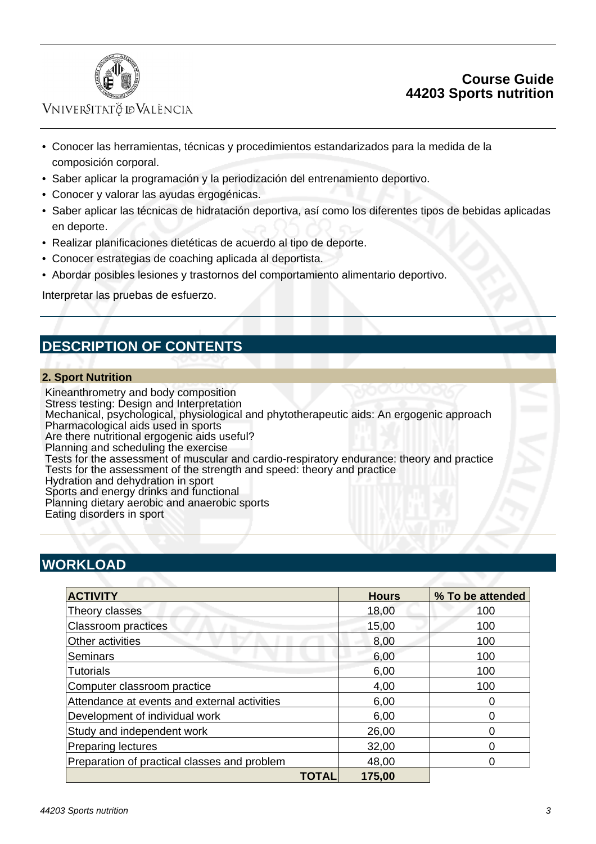

### **Course Guide 44203 Sports nutrition**

### VNIVERSITATÖ IDVALÈNCIA

- Conocer las herramientas, técnicas y procedimientos estandarizados para la medida de la composición corporal.
- Saber aplicar la programación y la periodización del entrenamiento deportivo.
- Conocer y valorar las ayudas ergogénicas.
- Saber aplicar las técnicas de hidratación deportiva, así como los diferentes tipos de bebidas aplicadas en deporte.
- Realizar planificaciones dietéticas de acuerdo al tipo de deporte.
- Conocer estrategias de coaching aplicada al deportista.
- Abordar posibles lesiones y trastornos del comportamiento alimentario deportivo.

Interpretar las pruebas de esfuerzo.

# **DESCRIPTION OF CONTENTS**

#### **2. Sport Nutrition**

 Kineanthrometry and body composition Stress testing: Design and Interpretation Mechanical, psychological, physiological and phytotherapeutic aids: An ergogenic approach Pharmacological aids used in sports Are there nutritional ergogenic aids useful? Planning and scheduling the exercise Tests for the assessment of muscular and cardio-respiratory endurance: theory and practice Tests for the assessment of the strength and speed: theory and practice Hydration and dehydration in sport Sports and energy drinks and functional Planning dietary aerobic and anaerobic sports Eating disorders in sport

# **WORKLOAD**

| <b>ACTIVITY</b>                              | <b>Hours</b> | % To be attended |
|----------------------------------------------|--------------|------------------|
| Theory classes                               | 18,00        | 100              |
| <b>Classroom practices</b>                   | 15,00        | 100              |
| Other activities                             | 8,00         | 100              |
| Seminars                                     | 6,00         | 100              |
| <b>Tutorials</b>                             | 6,00         | 100              |
| Computer classroom practice                  | 4,00         | 100              |
| Attendance at events and external activities | 6,00         | O                |
| Development of individual work               | 6,00         | ი                |
| Study and independent work                   | 26,00        | 0                |
| <b>Preparing lectures</b>                    | 32,00        | 0                |
| Preparation of practical classes and problem | 48,00        |                  |
| TOTAL                                        | 175,00       |                  |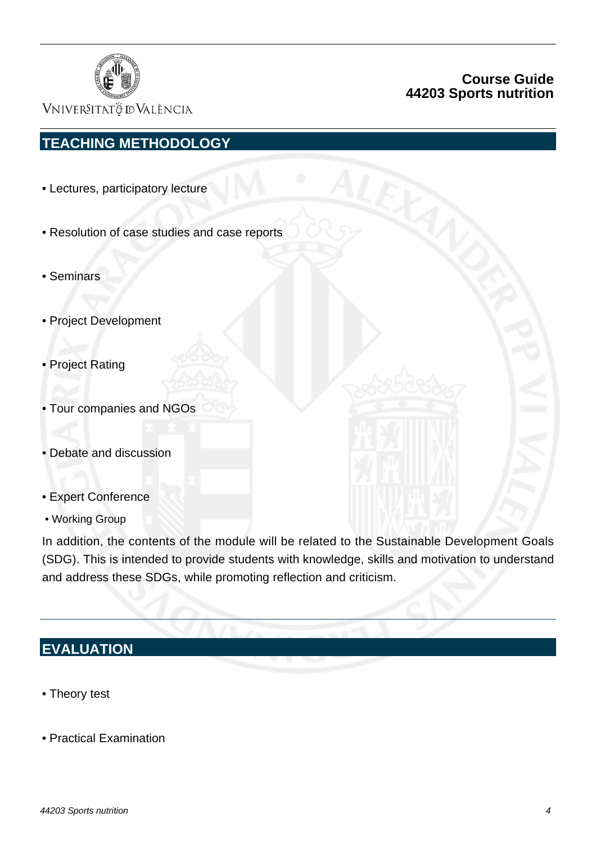

### **Course Guide 44203 Sports nutrition**

VNIVERSITATÖ ID VALÈNCIA

# **TEACHING METHODOLOGY**

- Lectures, participatory lecture
- Resolution of case studies and case reports
- Seminars
- Project Development
- Project Rating
- Tour companies and NGOs
- Debate and discussion
- Expert Conference
- Working Group

In addition, the contents of the module will be related to the Sustainable Development Goals (SDG). This is intended to provide students with knowledge, skills and motivation to understand and address these SDGs, while promoting reflection and criticism.

## **EVALUATION**

- Theory test
- Practical Examination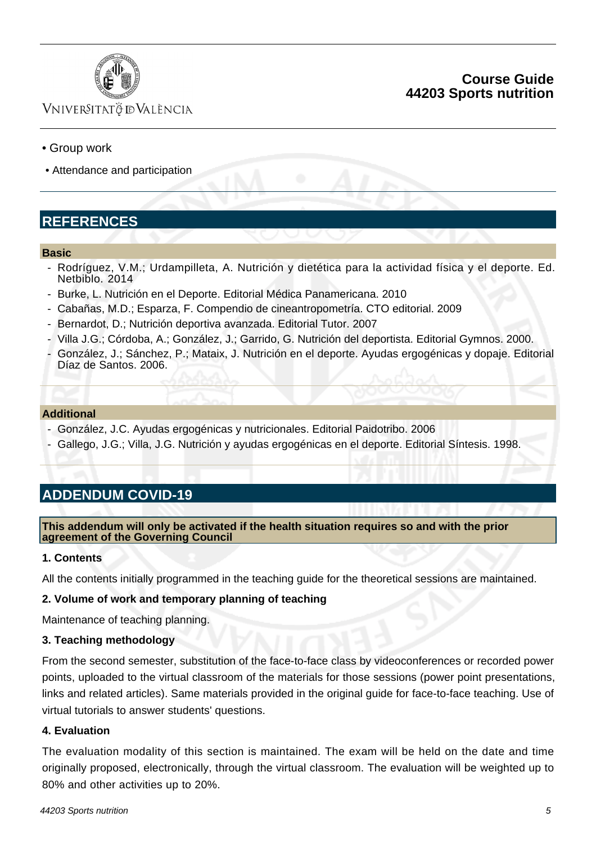

### **Course Guide 44203 Sports nutrition**

## Vniver§itatğ dValència

### • Group work

• Attendance and participation

# **REFERENCES**

#### **Basic**

- Rodríguez, V.M.; Urdampilleta, A. Nutrición y dietética para la actividad física y el deporte. Ed. Netbiblo. 2014
- Burke, L. Nutrición en el Deporte. Editorial Médica Panamericana. 2010
- Cabañas, M.D.; Esparza, F. Compendio de cineantropometría. CTO editorial. 2009
- Bernardot, D.; Nutrición deportiva avanzada. Editorial Tutor. 2007
- Villa J.G.; Córdoba, A.; González, J.; Garrido, G. Nutrición del deportista. Editorial Gymnos. 2000.
- González, J.; Sánchez, P.; Mataix, J. Nutrición en el deporte. Ayudas ergogénicas y dopaje. Editorial Díaz de Santos. 2006.

#### **Additional**

- González, J.C. Ayudas ergogénicas y nutricionales. Editorial Paidotribo. 2006
- Gallego, J.G.; Villa, J.G. Nutrición y ayudas ergogénicas en el deporte. Editorial Síntesis. 1998.

# **ADDENDUM COVID-19**

**This addendum will only be activated if the health situation requires so and with the prior agreement of the Governing Council**

### **1. Contents**

All the contents initially programmed in the teaching guide for the theoretical sessions are maintained.

#### **2. Volume of work and temporary planning of teaching**

Maintenance of teaching planning.

#### **3. Teaching methodology**

From the second semester, substitution of the face-to-face class by videoconferences or recorded power points, uploaded to the virtual classroom of the materials for those sessions (power point presentations, links and related articles). Same materials provided in the original guide for face-to-face teaching. Use of virtual tutorials to answer students' questions.

### **4. Evaluation**

The evaluation modality of this section is maintained. The exam will be held on the date and time originally proposed, electronically, through the virtual classroom. The evaluation will be weighted up to 80% and other activities up to 20%.